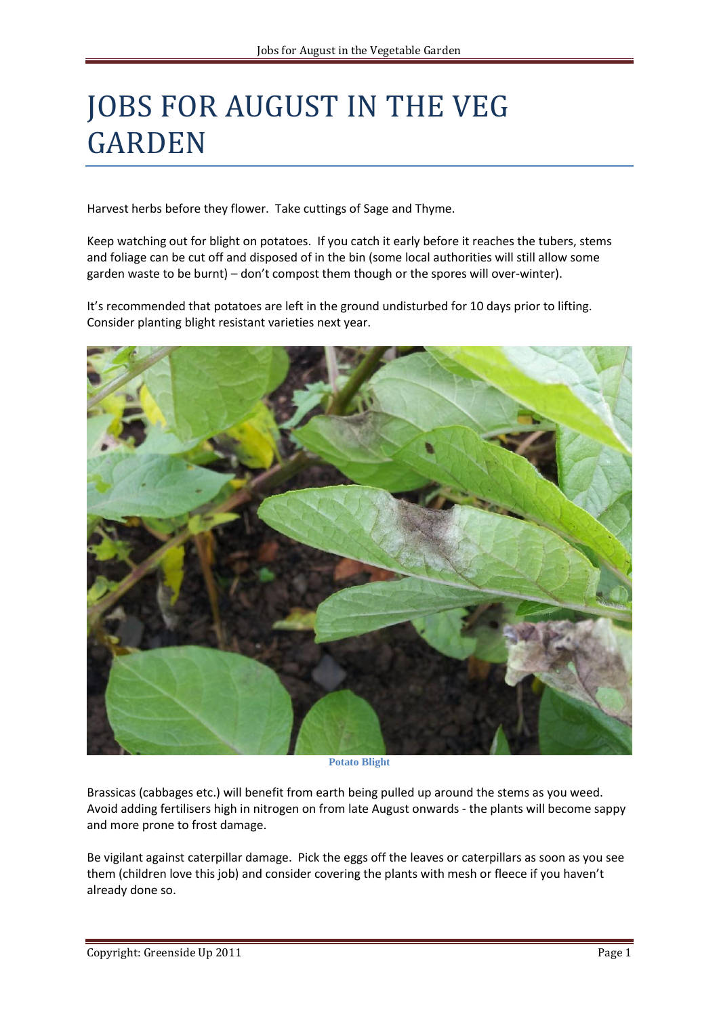## JOBS FOR AUGUST IN THE VEG GARDEN

Harvest herbs before they flower. Take cuttings of Sage and Thyme.

Keep watching out for blight on potatoes. If you catch it early before it reaches the tubers, stems and foliage can be cut off and disposed of in the bin (some local authorities will still allow some garden waste to be burnt) – don't compost them though or the spores will over-winter).

It's recommended that potatoes are left in the ground undisturbed for 10 days prior to lifting. Consider planting blight resistant varieties next year.



**Potato Blight**

Brassicas (cabbages etc.) will benefit from earth being pulled up around the stems as you weed. Avoid adding fertilisers high in nitrogen on from late August onwards - the plants will become sappy and more prone to frost damage.

Be vigilant against caterpillar damage. Pick the eggs off the leaves or caterpillars as soon as you see them (children love this job) and consider covering the plants with mesh or fleece if you haven't already done so.